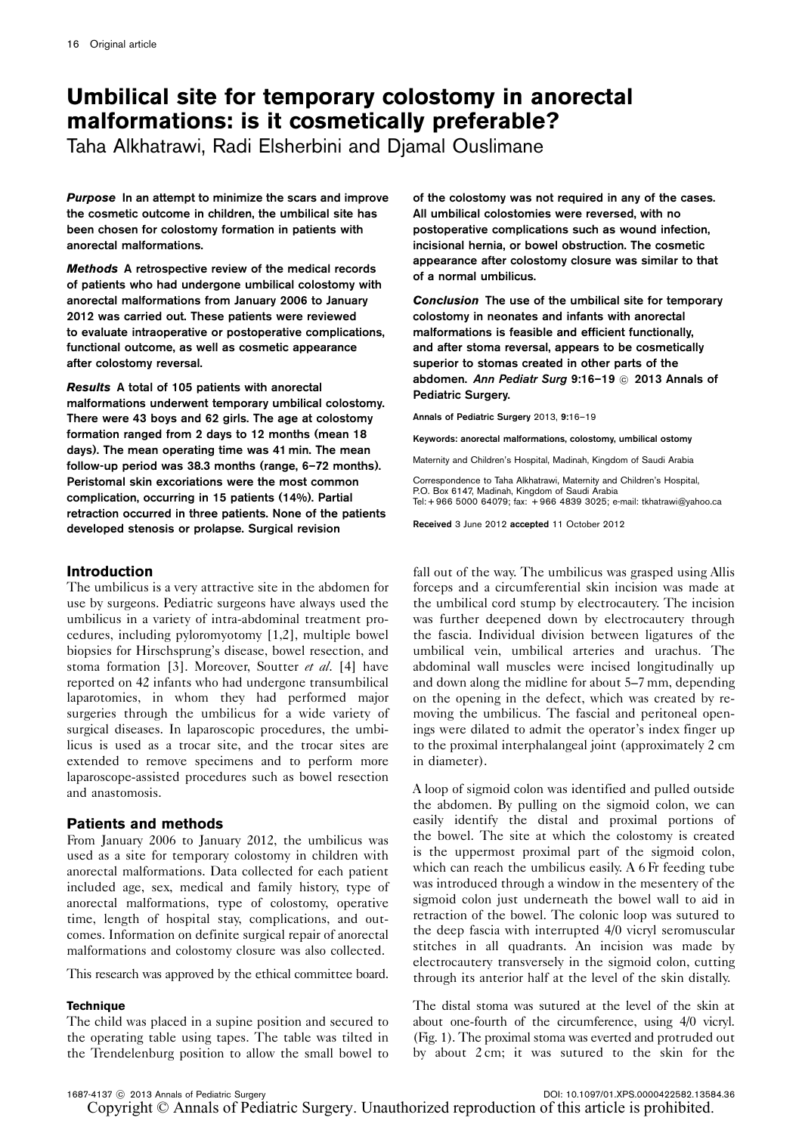# Umbilical site for temporary colostomy in anorectal malformations: is it cosmetically preferable?

Taha Alkhatrawi, Radi Elsherbini and Djamal Ouslimane

Purpose In an attempt to minimize the scars and improve the cosmetic outcome in children, the umbilical site has been chosen for colostomy formation in patients with anorectal malformations.

Methods A retrospective review of the medical records of patients who had undergone umbilical colostomy with anorectal malformations from January 2006 to January 2012 was carried out. These patients were reviewed to evaluate intraoperative or postoperative complications, functional outcome, as well as cosmetic appearance after colostomy reversal.

Results A total of 105 patients with anorectal malformations underwent temporary umbilical colostomy. There were 43 boys and 62 girls. The age at colostomy formation ranged from 2 days to 12 months (mean 18 days). The mean operating time was 41 min. The mean follow-up period was 38.3 months (range, 6–72 months). Peristomal skin excoriations were the most common complication, occurring in 15 patients (14%). Partial retraction occurred in three patients. None of the patients developed stenosis or prolapse. Surgical revision

# Introduction

The umbilicus is a very attractive site in the abdomen for use by surgeons. Pediatric surgeons have always used the umbilicus in a variety of intra-abdominal treatment procedures, including pyloromyotomy [\[1,2\]](#page-2-0), multiple bowel biopsies for Hirschsprung's disease, bowel resection, and stoma formation [\[3](#page-2-0)]. Moreover, Soutter et al. [\[4\]](#page-2-0) have reported on 42 infants who had undergone transumbilical laparotomies, in whom they had performed major surgeries through the umbilicus for a wide variety of surgical diseases. In laparoscopic procedures, the umbilicus is used as a trocar site, and the trocar sites are extended to remove specimens and to perform more laparoscope-assisted procedures such as bowel resection and anastomosis.

# Patients and methods

From January 2006 to January 2012, the umbilicus was used as a site for temporary colostomy in children with anorectal malformations. Data collected for each patient included age, sex, medical and family history, type of anorectal malformations, type of colostomy, operative time, length of hospital stay, complications, and outcomes. Information on definite surgical repair of anorectal malformations and colostomy closure was also collected.

This research was approved by the ethical committee board.

#### **Technique**

The child was placed in a supine position and secured to the operating table using tapes. The table was tilted in the Trendelenburg position to allow the small bowel to

of the colostomy was not required in any of the cases. All umbilical colostomies were reversed, with no postoperative complications such as wound infection, incisional hernia, or bowel obstruction. The cosmetic appearance after colostomy closure was similar to that of a normal umbilicus.

Conclusion The use of the umbilical site for temporary colostomy in neonates and infants with anorectal malformations is feasible and efficient functionally, and after stoma reversal, appears to be cosmetically superior to stomas created in other parts of the abdomen. Ann Pediatr Surg 9:16-19 @ 2013 Annals of Pediatric Surgery.

Annals of Pediatric Surgery 2013, 9:16–19

Keywords: anorectal malformations, colostomy, umbilical ostomy

Maternity and Children's Hospital, Madinah, Kingdom of Saudi Arabia

Correspondence to Taha Alkhatrawi, Maternity and Children's Hospital, P.O. Box 6147, Madinah, Kingdom of Saudi Arabia Tel: + 966 5000 64079; fax: + 966 4839 3025; e-mail: [tkhatrawi@yahoo.ca](mailto:tkhatrawi@yahoo.ca)

Received 3 June 2012 accepted 11 October 2012

fall out of the way. The umbilicus was grasped using Allis forceps and a circumferential skin incision was made at the umbilical cord stump by electrocautery. The incision was further deepened down by electrocautery through the fascia. Individual division between ligatures of the umbilical vein, umbilical arteries and urachus. The abdominal wall muscles were incised longitudinally up and down along the midline for about 5–7 mm, depending on the opening in the defect, which was created by removing the umbilicus. The fascial and peritoneal openings were dilated to admit the operator's index finger up to the proximal interphalangeal joint (approximately 2 cm in diameter).

A loop of sigmoid colon was identified and pulled outside the abdomen. By pulling on the sigmoid colon, we can easily identify the distal and proximal portions of the bowel. The site at which the colostomy is created is the uppermost proximal part of the sigmoid colon, which can reach the umbilicus easily. A 6 Fr feeding tube was introduced through a window in the mesentery of the sigmoid colon just underneath the bowel wall to aid in retraction of the bowel. The colonic loop was sutured to the deep fascia with interrupted 4/0 vicryl seromuscular stitches in all quadrants. An incision was made by electrocautery transversely in the sigmoid colon, cutting through its anterior half at the level of the skin distally.

The distal stoma was sutured at the level of the skin at about one-fourth of the circumference, using 4/0 vicryl. [\(Fig. 1\)](#page-1-0). The proximal stoma was everted and protruded out by about 2 cm; it was sutured to the skin for the

DOI: 10.1097/01.XPS.0000422582.13584.36

Copyright © Annals of Pediatric Surgery. Unauthorized reproduction of this article is prohibited.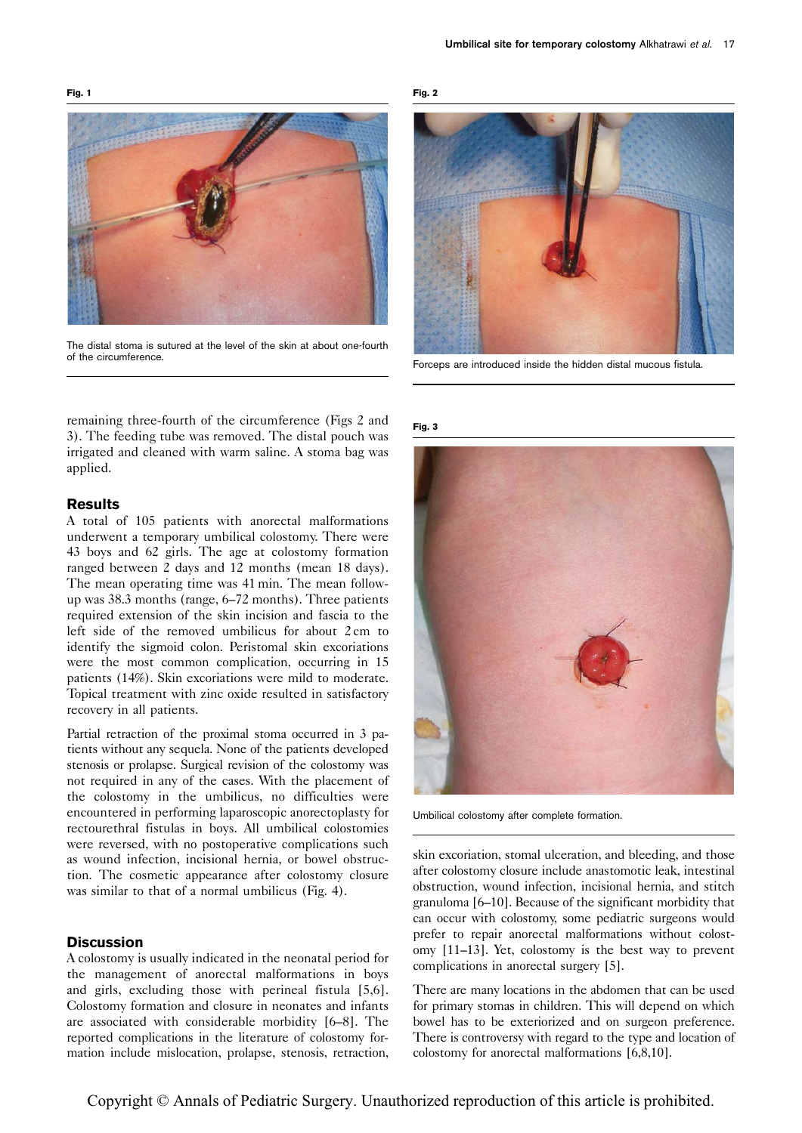<span id="page-1-0"></span>

The distal stoma is sutured at the level of the skin at about one-fourth of the circumference.

remaining three-fourth of the circumference (Figs 2 and 3). The feeding tube was removed. The distal pouch was irrigated and cleaned with warm saline. A stoma bag was applied.

#### Results

A total of 105 patients with anorectal malformations underwent a temporary umbilical colostomy. There were 43 boys and 62 girls. The age at colostomy formation ranged between 2 days and 12 months (mean 18 days). The mean operating time was 41 min. The mean followup was 38.3 months (range, 6–72 months). Three patients required extension of the skin incision and fascia to the left side of the removed umbilicus for about 2 cm to identify the sigmoid colon. Peristomal skin excoriations were the most common complication, occurring in 15 patients (14%). Skin excoriations were mild to moderate. Topical treatment with zinc oxide resulted in satisfactory recovery in all patients.

Partial retraction of the proximal stoma occurred in 3 patients without any sequela. None of the patients developed stenosis or prolapse. Surgical revision of the colostomy was not required in any of the cases. With the placement of the colostomy in the umbilicus, no difficulties were encountered in performing laparoscopic anorectoplasty for rectourethral fistulas in boys. All umbilical colostomies were reversed, with no postoperative complications such as wound infection, incisional hernia, or bowel obstruction. The cosmetic appearance after colostomy closure was similar to that of a normal umbilicus ([Fig. 4](#page-2-0)).

#### **Discussion**

A colostomy is usually indicated in the neonatal period for the management of anorectal malformations in boys and girls, excluding those with perineal fistula [\[5,6](#page-3-0)]. Colostomy formation and closure in neonates and infants are associated with considerable morbidity [\[6–8](#page-3-0)]. The reported complications in the literature of colostomy formation include mislocation, prolapse, stenosis, retraction,



Forceps are introduced inside the hidden distal mucous fistula.

Fig. 3

Fig. 2



Umbilical colostomy after complete formation.

skin excoriation, stomal ulceration, and bleeding, and those after colostomy closure include anastomotic leak, intestinal obstruction, wound infection, incisional hernia, and stitch granuloma [\[6–10](#page-3-0)]. Because of the significant morbidity that can occur with colostomy, some pediatric surgeons would prefer to repair anorectal malformations without colostomy [\[11–13](#page-3-0)]. Yet, colostomy is the best way to prevent complications in anorectal surgery [\[5](#page-3-0)].

There are many locations in the abdomen that can be used for primary stomas in children. This will depend on which bowel has to be exteriorized and on surgeon preference. There is controversy with regard to the type and location of colostomy for anorectal malformations [\[6,8,10\]](#page-3-0).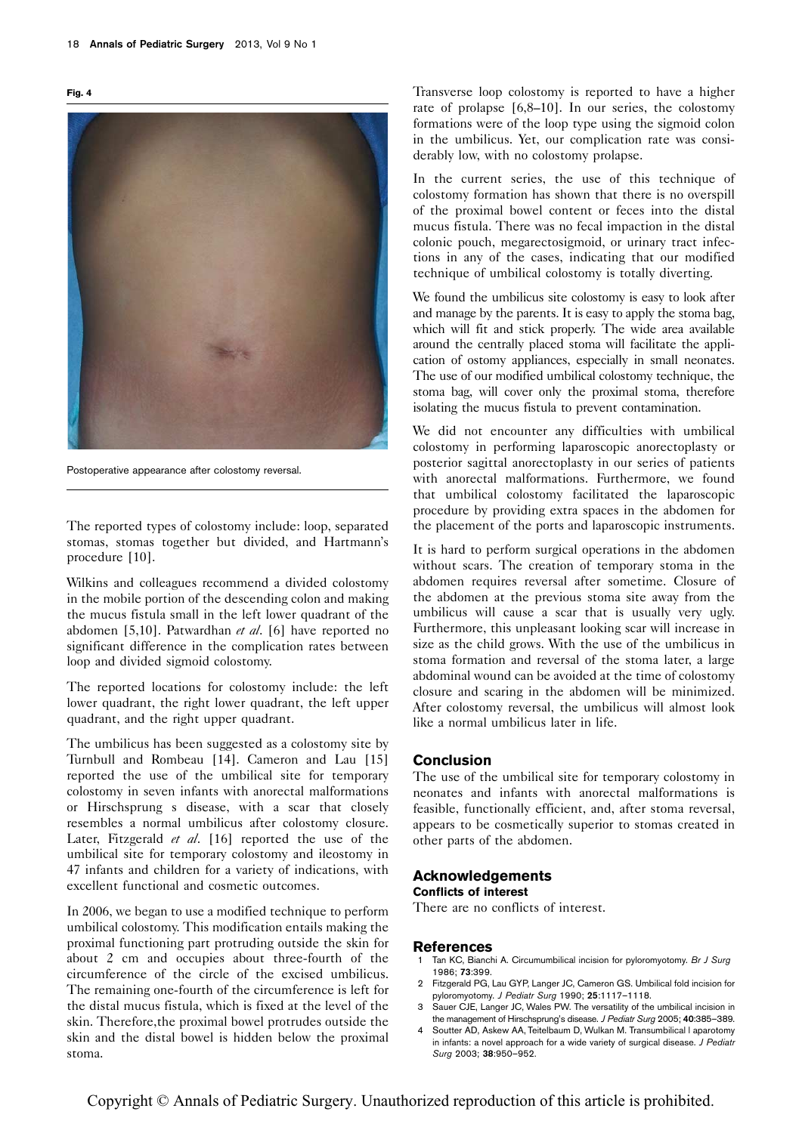<span id="page-2-0"></span>



Postoperative appearance after colostomy reversal.

The reported types of colostomy include: loop, separated stomas, stomas together but divided, and Hartmann's procedure [\[10\]](#page-3-0).

Wilkins and colleagues recommend a divided colostomy in the mobile portion of the descending colon and making the mucus fistula small in the left lower quadrant of the abdomen [\[5,10](#page-3-0)]. Patwardhan et al. [\[6\]](#page-3-0) have reported no significant difference in the complication rates between loop and divided sigmoid colostomy.

The reported locations for colostomy include: the left lower quadrant, the right lower quadrant, the left upper quadrant, and the right upper quadrant.

The umbilicus has been suggested as a colostomy site by Turnbull and Rombeau [\[14](#page-3-0)]. Cameron and Lau [\[15\]](#page-3-0) reported the use of the umbilical site for temporary colostomy in seven infants with anorectal malformations or Hirschsprung s disease, with a scar that closely resembles a normal umbilicus after colostomy closure. Later, Fitzgerald et al. [\[16\]](#page-3-0) reported the use of the umbilical site for temporary colostomy and ileostomy in 47 infants and children for a variety of indications, with excellent functional and cosmetic outcomes.

In 2006, we began to use a modified technique to perform umbilical colostomy. This modification entails making the proximal functioning part protruding outside the skin for about 2 cm and occupies about three-fourth of the circumference of the circle of the excised umbilicus. The remaining one-fourth of the circumference is left for the distal mucus fistula, which is fixed at the level of the skin. Therefore,the proximal bowel protrudes outside the skin and the distal bowel is hidden below the proximal stoma.

Transverse loop colostomy is reported to have a higher rate of prolapse [\[6,8–10](#page-3-0)]. In our series, the colostomy formations were of the loop type using the sigmoid colon in the umbilicus. Yet, our complication rate was considerably low, with no colostomy prolapse.

In the current series, the use of this technique of colostomy formation has shown that there is no overspill of the proximal bowel content or feces into the distal mucus fistula. There was no fecal impaction in the distal colonic pouch, megarectosigmoid, or urinary tract infections in any of the cases, indicating that our modified technique of umbilical colostomy is totally diverting.

We found the umbilicus site colostomy is easy to look after and manage by the parents. It is easy to apply the stoma bag, which will fit and stick properly. The wide area available around the centrally placed stoma will facilitate the application of ostomy appliances, especially in small neonates. The use of our modified umbilical colostomy technique, the stoma bag, will cover only the proximal stoma, therefore isolating the mucus fistula to prevent contamination.

We did not encounter any difficulties with umbilical colostomy in performing laparoscopic anorectoplasty or posterior sagittal anorectoplasty in our series of patients with anorectal malformations. Furthermore, we found that umbilical colostomy facilitated the laparoscopic procedure by providing extra spaces in the abdomen for the placement of the ports and laparoscopic instruments.

It is hard to perform surgical operations in the abdomen without scars. The creation of temporary stoma in the abdomen requires reversal after sometime. Closure of the abdomen at the previous stoma site away from the umbilicus will cause a scar that is usually very ugly. Furthermore, this unpleasant looking scar will increase in size as the child grows. With the use of the umbilicus in stoma formation and reversal of the stoma later, a large abdominal wound can be avoided at the time of colostomy closure and scaring in the abdomen will be minimized. After colostomy reversal, the umbilicus will almost look like a normal umbilicus later in life.

## Conclusion

The use of the umbilical site for temporary colostomy in neonates and infants with anorectal malformations is feasible, functionally efficient, and, after stoma reversal, appears to be cosmetically superior to stomas created in other parts of the abdomen.

# Acknowledgements

#### Conflicts of interest

There are no conflicts of interest.

#### References

- 1 Tan KC, Bianchi A. Circumumbilical incision for pyloromyotomy. Br J Surg 1986; 73:399.
- 2 Fitzgerald PG, Lau GYP, Langer JC, Cameron GS. Umbilical fold incision for pyloromyotomy. J Pediatr Surg 1990; 25:1117–1118.
- 3 Sauer CJE, Langer JC, Wales PW. The versatility of the umbilical incision in the management of Hirschsprung's disease. J Pediatr Surg 2005; 40:385–389.
- 4 Soutter AD, Askew AA, Teitelbaum D, Wulkan M. Transumbilical l aparotomy in infants: a novel approach for a wide variety of surgical disease. J Pediatr Surg 2003; 38:950–952.

Copyright © Annals of Pediatric Surgery. Unauthorized reproduction of this article is prohibited.